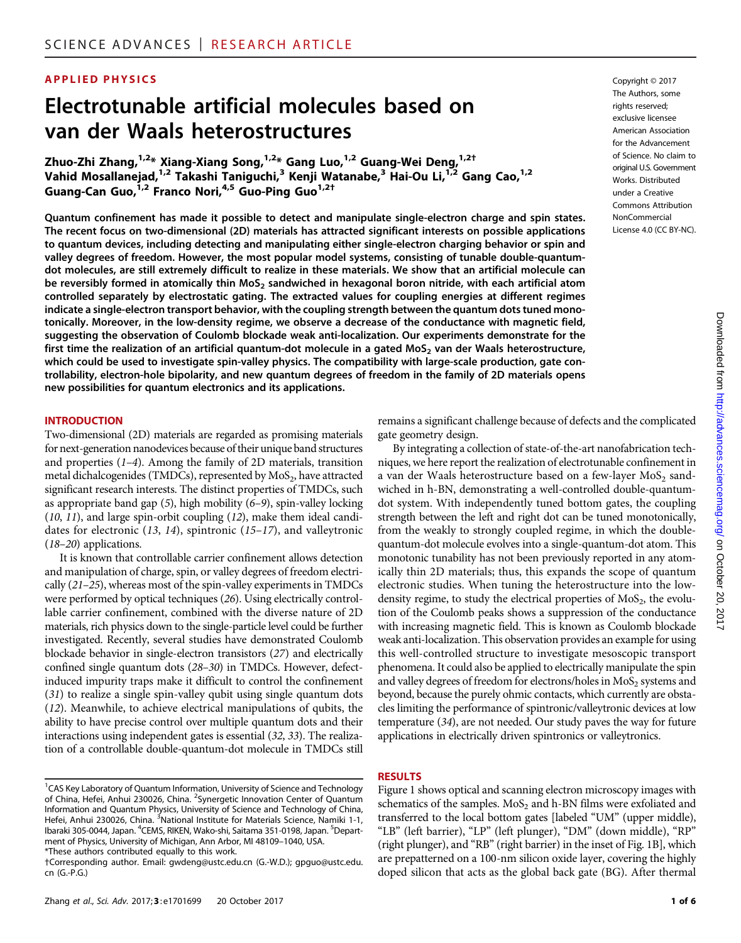# APPLIED PHYSICS Copyright © 2017

# Electrotunable artificial molecules based on van der Waals heterostructures

Zhuo-Zhi Zhang, $1.2*$  Xiang-Xiang Song, $1.2*$  Gang Luo, $1.2*$  Guang-Wei Deng, $1.2*$ Vahid Mosallanejad,<sup>1,2</sup> Takashi Taniguchi,<sup>3</sup> Kenji Watanabe,<sup>3</sup> Hai-Ou Li,<sup>1,2</sup> Gang Cao,<sup>1,2</sup> Guang-Can Guo,<sup>1,2</sup> Franco Nori,<sup>4,5</sup> Guo-Ping Guo<sup>1,2†</sup>

Quantum confinement has made it possible to detect and manipulate single-electron charge and spin states. The recent focus on two-dimensional (2D) materials has attracted significant interests on possible applications to quantum devices, including detecting and manipulating either single-electron charging behavior or spin and valley degrees of freedom. However, the most popular model systems, consisting of tunable double-quantumdot molecules, are still extremely difficult to realize in these materials. We show that an artificial molecule can be reversibly formed in atomically thin MoS<sub>2</sub> sandwiched in hexagonal boron nitride, with each artificial atom controlled separately by electrostatic gating. The extracted values for coupling energies at different regimes indicate a single-electron transport behavior, with the coupling strength between the quantum dots tuned monotonically. Moreover, in the low-density regime, we observe a decrease of the conductance with magnetic field, suggesting the observation of Coulomb blockade weak anti-localization. Our experiments demonstrate for the first time the realization of an artificial quantum-dot molecule in a gated  $MoS<sub>2</sub>$  van der Waals heterostructure, which could be used to investigate spin-valley physics. The compatibility with large-scale production, gate controllability, electron-hole bipolarity, and new quantum degrees of freedom in the family of 2D materials opens new possibilities for quantum electronics and its applications.

#### INTRODUCTION

Two-dimensional (2D) materials are regarded as promising materials for next-generation nanodevices because of their unique band structures and properties (1–4). Among the family of 2D materials, transition metal dichalcogenides (TMDCs), represented by  $MoS<sub>2</sub>$ , have attracted significant research interests. The distinct properties of TMDCs, such as appropriate band gap (5), high mobility (6–9), spin-valley locking (10, 11), and large spin-orbit coupling (12), make them ideal candidates for electronic (13, 14), spintronic (15–17), and valleytronic (18–20) applications.

It is known that controllable carrier confinement allows detection and manipulation of charge, spin, or valley degrees of freedom electrically (21–25), whereas most of the spin-valley experiments in TMDCs were performed by optical techniques (26). Using electrically controllable carrier confinement, combined with the diverse nature of 2D materials, rich physics down to the single-particle level could be further investigated. Recently, several studies have demonstrated Coulomb blockade behavior in single-electron transistors (27) and electrically confined single quantum dots (28–30) in TMDCs. However, defectinduced impurity traps make it difficult to control the confinement (31) to realize a single spin-valley qubit using single quantum dots (12). Meanwhile, to achieve electrical manipulations of qubits, the ability to have precise control over multiple quantum dots and their interactions using independent gates is essential (32, 33). The realization of a controllable double-quantum-dot molecule in TMDCs still

The Authors, some rights reserved; exclusive licensee American Association for the Advancement of Science. No claim to original U.S. Government Works. Distributed under a Creative Commons Attribution NonCommercial License 4.0 (CC BY-NC).

remains a significant challenge because of defects and the complicated gate geometry design.

By integrating a collection of state-of-the-art nanofabrication techniques, we here report the realization of electrotunable confinement in a van der Waals heterostructure based on a few-layer  $MoS<sub>2</sub>$  sandwiched in h-BN, demonstrating a well-controlled double-quantumdot system. With independently tuned bottom gates, the coupling strength between the left and right dot can be tuned monotonically, from the weakly to strongly coupled regime, in which the doublequantum-dot molecule evolves into a single-quantum-dot atom. This monotonic tunability has not been previously reported in any atomically thin 2D materials; thus, this expands the scope of quantum electronic studies. When tuning the heterostructure into the lowdensity regime, to study the electrical properties of  $MoS<sub>2</sub>$ , the evolution of the Coulomb peaks shows a suppression of the conductance with increasing magnetic field. This is known as Coulomb blockade weak anti-localization. This observation provides an example for using this well-controlled structure to investigate mesoscopic transport phenomena. It could also be applied to electrically manipulate the spin and valley degrees of freedom for electrons/holes in  $MoS<sub>2</sub>$  systems and beyond, because the purely ohmic contacts, which currently are obstacles limiting the performance of spintronic/valleytronic devices at low temperature (34), are not needed. Our study paves the way for future applications in electrically driven spintronics or valleytronics.

#### RESULTS

Figure 1 shows optical and scanning electron microscopy images with schematics of the samples.  $MoS<sub>2</sub>$  and h-BN films were exfoliated and transferred to the local bottom gates [labeled "UM" (upper middle), "LB" (left barrier), "LP" (left plunger), "DM" (down middle), "RP" (right plunger), and "RB" (right barrier) in the inset of Fig. 1B], which are prepatterned on a 100-nm silicon oxide layer, covering the highly doped silicon that acts as the global back gate (BG). After thermal

<sup>&</sup>lt;sup>1</sup>CAS Key Laboratory of Quantum Information, University of Science and Technology of China, Hefei, Anhui 230026, China. <sup>2</sup>Synergetic Innovation Center of Quantum Information and Quantum Physics, University of Science and Technology of China, Hefei, Anhui 230026, China. <sup>3</sup>National Institute for Materials Science, Namiki 1-1, Ibaraki 305-0044, Japan. <sup>4</sup>CEMS, RIKEN, Wako-shi, Saitama 351-0198, Japan. <sup>5</sup>Department of Physics, University of Michigan, Ann Arbor, MI 48109–1040, USA.

<sup>\*</sup>These authors contributed equally to this work.

<sup>†</sup>Corresponding author. Email: gwdeng@ustc.edu.cn (G.-W.D.); gpguo@ustc.edu. cn (G.-P.G.)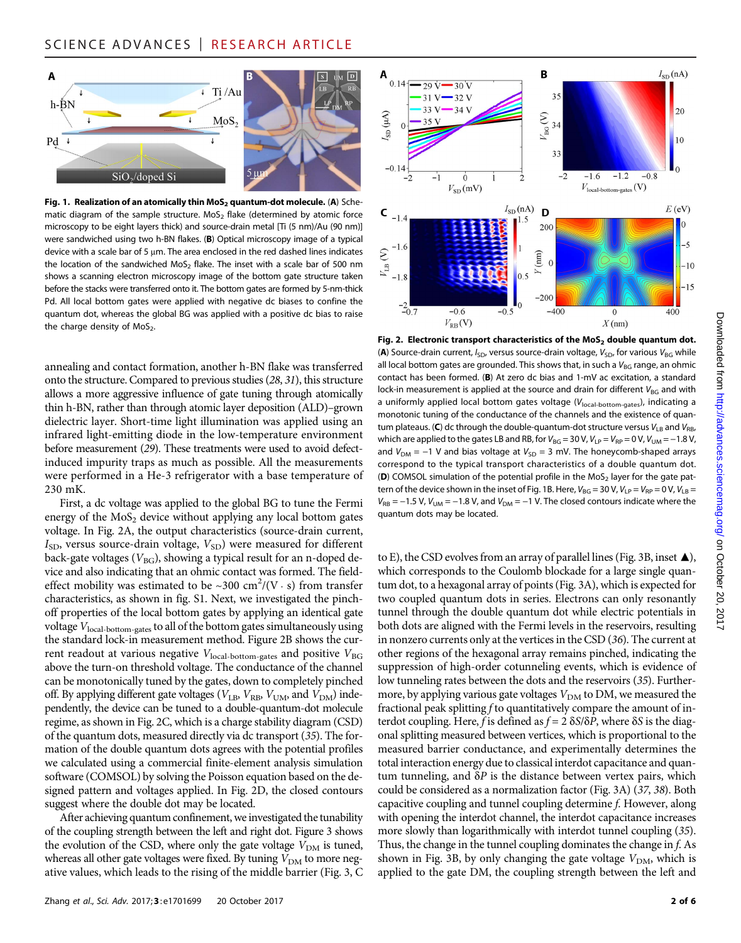

Fig. 1. Realization of an atomically thin  $MoS<sub>2</sub>$  quantum-dot molecule. (A) Schematic diagram of the sample structure. MoS<sub>2</sub> flake (determined by atomic force microscopy to be eight layers thick) and source-drain metal [Ti (5 nm)/Au (90 nm)] were sandwiched using two h-BN flakes. (B) Optical microscopy image of a typical device with a scale bar of 5  $\mu$ m. The area enclosed in the red dashed lines indicates the location of the sandwiched MoS<sub>2</sub> flake. The inset with a scale bar of 500 nm shows a scanning electron microscopy image of the bottom gate structure taken before the stacks were transferred onto it. The bottom gates are formed by 5-nm-thick Pd. All local bottom gates were applied with negative dc biases to confine the quantum dot, whereas the global BG was applied with a positive dc bias to raise the charge density of  $MoS<sub>2</sub>$ .

annealing and contact formation, another h-BN flake was transferred onto the structure. Compared to previous studies (28, 31), this structure allows a more aggressive influence of gate tuning through atomically thin h-BN, rather than through atomic layer deposition (ALD)–grown dielectric layer. Short-time light illumination was applied using an infrared light-emitting diode in the low-temperature environment before measurement (29). These treatments were used to avoid defectinduced impurity traps as much as possible. All the measurements were performed in a He-3 refrigerator with a base temperature of 230 mK.

First, a dc voltage was applied to the global BG to tune the Fermi energy of the  $MoS<sub>2</sub>$  device without applying any local bottom gates voltage. In Fig. 2A, the output characteristics (source-drain current,  $I_{SD}$ , versus source-drain voltage,  $V_{SD}$ ) were measured for different back-gate voltages ( $V_{BG}$ ), showing a typical result for an n-doped device and also indicating that an ohmic contact was formed. The fieldeffect mobility was estimated to be ~300 cm<sup>2</sup>/(V · s) from transfer characteristics, as shown in fig. S1. Next, we investigated the pinchoff properties of the local bottom gates by applying an identical gate voltage V<sub>local-bottom-gates</sub> to all of the bottom gates simultaneously using the standard lock-in measurement method. Figure 2B shows the current readout at various negative  $V_{\text{local-bottom-gates}}$  and positive  $V_{\text{BG}}$ above the turn-on threshold voltage. The conductance of the channel can be monotonically tuned by the gates, down to completely pinched off. By applying different gate voltages ( $V_{\text{LB}}$ ,  $V_{\text{RB}}$ ,  $V_{\text{UM}}$ , and  $V_{\text{DM}}$ ) independently, the device can be tuned to a double-quantum-dot molecule regime, as shown in Fig. 2C, which is a charge stability diagram (CSD) of the quantum dots, measured directly via dc transport (35). The formation of the double quantum dots agrees with the potential profiles we calculated using a commercial finite-element analysis simulation software (COMSOL) by solving the Poisson equation based on the designed pattern and voltages applied. In Fig. 2D, the closed contours suggest where the double dot may be located.

After achieving quantum confinement, we investigated the tunability of the coupling strength between the left and right dot. Figure 3 shows the evolution of the CSD, where only the gate voltage  $V_{DM}$  is tuned, whereas all other gate voltages were fixed. By tuning  $V_{DM}$  to more negative values, which leads to the rising of the middle barrier (Fig. 3, C



Fig. 2. Electronic transport characteristics of the  $MoS<sub>2</sub>$  double quantum dot. (A) Source-drain current,  $I_{SD}$ , versus source-drain voltage,  $V_{SD}$ , for various  $V_{BG}$  while all local bottom gates are grounded. This shows that, in such a  $V_{BG}$  range, an ohmic contact has been formed. (B) At zero dc bias and 1-mV ac excitation, a standard lock-in measurement is applied at the source and drain for different  $V_{BG}$  and with a uniformly applied local bottom gates voltage  $(V<sub>local-bottom-aates</sub>)$ , indicating a monotonic tuning of the conductance of the channels and the existence of quantum plateaus. (C) dc through the double-quantum-dot structure versus  $V_{LB}$  and  $V_{RB}$ , which are applied to the gates LB and RB, for  $V_{BG} = 30$  V,  $V_{LP} = V_{RP} = 0$  V,  $V_{UM} = -1.8$  V, and  $V_{DM} = -1$  V and bias voltage at  $V_{SD} = 3$  mV. The honeycomb-shaped arrays correspond to the typical transport characteristics of a double quantum dot. (D) COMSOL simulation of the potential profile in the MoS<sub>2</sub> layer for the gate pattern of the device shown in the inset of Fig. 1B. Here,  $V_{BG} = 30 V$ ,  $V_{LP} = V_{RP} = 0 V$ ,  $V_{LB} =$  $V_{RB}$  = −1.5 V,  $V_{UM}$  = −1.8 V, and  $V_{DM}$  = −1 V. The closed contours indicate where the quantum dots may be located.

to E), the CSD evolves from an array of parallel lines (Fig. 3B, inset  $\blacktriangle$ ), which corresponds to the Coulomb blockade for a large single quantum dot, to a hexagonal array of points (Fig. 3A), which is expected for two coupled quantum dots in series. Electrons can only resonantly tunnel through the double quantum dot while electric potentials in both dots are aligned with the Fermi levels in the reservoirs, resulting in nonzero currents only at the vertices in the CSD (36). The current at other regions of the hexagonal array remains pinched, indicating the suppression of high-order cotunneling events, which is evidence of low tunneling rates between the dots and the reservoirs (35). Furthermore, by applying various gate voltages  $V_{DM}$  to DM, we measured the fractional peak splitting  $f$  to quantitatively compare the amount of interdot coupling. Here, f is defined as  $f = 2 \delta S/\delta P$ , where  $\delta S$  is the diagonal splitting measured between vertices, which is proportional to the measured barrier conductance, and experimentally determines the total interaction energy due to classical interdot capacitance and quantum tunneling, and  $\delta P$  is the distance between vertex pairs, which could be considered as a normalization factor (Fig. 3A) (37, 38). Both capacitive coupling and tunnel coupling determine f. However, along with opening the interdot channel, the interdot capacitance increases more slowly than logarithmically with interdot tunnel coupling (35). Thus, the change in the tunnel coupling dominates the change in f. As shown in Fig. 3B, by only changing the gate voltage  $V_{DM}$ , which is applied to the gate DM, the coupling strength between the left and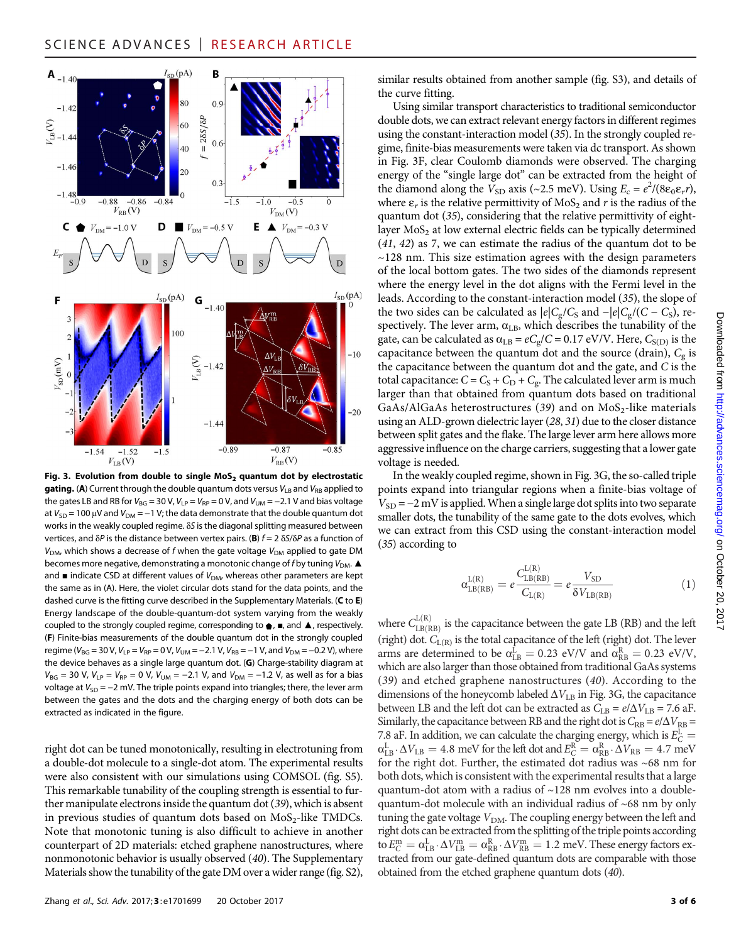

Fig. 3. Evolution from double to single  $MoS<sub>2</sub>$  quantum dot by electrostatic gating. (A) Current through the double quantum dots versus  $V_{LB}$  and  $V_{RB}$  applied to the gates LB and RB for  $V_{BG}$  = 30 V,  $V_{LP}$  =  $V_{RP}$  = 0 V, and  $V_{UM}$  = -2.1 V and bias voltage at  $V_{SD}$  = 100 µV and  $V_{DM}$  = -1 V; the data demonstrate that the double quantum dot works in the weakly coupled regime.  $\delta S$  is the diagonal splitting measured between vertices, and  $\delta P$  is the distance between vertex pairs. (B)  $f = 2 \delta S/\delta P$  as a function of  $V_{DM}$ , which shows a decrease of f when the gate voltage  $V_{DM}$  applied to gate DM becomes more negative, demonstrating a monotonic change of f by tuning  $V_{DM}$ . and  $\blacksquare$  indicate CSD at different values of  $V_{DM}$ , whereas other parameters are kept the same as in (A). Here, the violet circular dots stand for the data points, and the dashed curve is the fitting curve described in the Supplementary Materials. (C to E) Energy landscape of the double-quantum-dot system varying from the weakly coupled to the strongly coupled regime, corresponding to  $\bigoplus$ ,  $\blacksquare$ , and  $\blacktriangle$ , respectively. (F) Finite-bias measurements of the double quantum dot in the strongly coupled regime ( $V_{BG}$  = 30 V,  $V_{LP}$  =  $V_{RP}$  = 0 V,  $V_{UM}$  = -2.1 V,  $V_{RB}$  = -1 V, and  $V_{DM}$  = -0.2 V), where the device behaves as a single large quantum dot. (G) Charge-stability diagram at  $V_{BG}$  = 30 V,  $V_{LP} = V_{RP} = 0$  V,  $V_{UM} = -2.1$  V, and  $V_{DM} = -1.2$  V, as well as for a bias voltage at  $V_{SD}$  = −2 mV. The triple points expand into triangles; there, the lever arm between the gates and the dots and the charging energy of both dots can be extracted as indicated in the figure.

right dot can be tuned monotonically, resulting in electrotuning from a double-dot molecule to a single-dot atom. The experimental results were also consistent with our simulations using COMSOL (fig. S5). This remarkable tunability of the coupling strength is essential to further manipulate electrons inside the quantum dot (39), which is absent in previous studies of quantum dots based on  $MoS<sub>2</sub>$ -like TMDCs. Note that monotonic tuning is also difficult to achieve in another counterpart of 2D materials: etched graphene nanostructures, where nonmonotonic behavior is usually observed (40). The Supplementary Materials show the tunability of the gate DM over a wider range (fig. S2), similar results obtained from another sample (fig. S3), and details of the curve fitting.

Using similar transport characteristics to traditional semiconductor double dots, we can extract relevant energy factors in different regimes using the constant-interaction model (35). In the strongly coupled regime, finite-bias measurements were taken via dc transport. As shown in Fig. 3F, clear Coulomb diamonds were observed. The charging energy of the "single large dot" can be extracted from the height of the diamond along the  $V_{SD}$  axis (~2.5 meV). Using  $E_c = e^2/(8\varepsilon_0 \varepsilon_r r)$ , where  $\varepsilon_r$  is the relative permittivity of MoS<sub>2</sub> and r is the radius of the quantum dot (35), considering that the relative permittivity of eightlayer  $MoS<sub>2</sub>$  at low external electric fields can be typically determined (41, 42) as 7, we can estimate the radius of the quantum dot to be  $\sim$ 128 nm. This size estimation agrees with the design parameters of the local bottom gates. The two sides of the diamonds represent where the energy level in the dot aligns with the Fermi level in the leads. According to the constant-interaction model (35), the slope of the two sides can be calculated as  $|e|C_g/C_S$  and  $-|e|C_g/(C-C_S)$ , respectively. The lever arm,  $\alpha_{\text{LB}}$ , which describes the tunability of the gate, can be calculated as  $\alpha_{\text{LB}} = eC_g/C = 0.17 \text{ eV/V}$ . Here,  $C_{S(D)}$  is the capacitance between the quantum dot and the source (drain),  $C_{\rm g}$  is the capacitance between the quantum dot and the gate, and C is the total capacitance:  $C = C_S + C_D + C_g$ . The calculated lever arm is much larger than that obtained from quantum dots based on traditional GaAs/AlGaAs heterostructures (39) and on  $MoS<sub>2</sub>$ -like materials using an ALD-grown dielectric layer (28, 31) due to the closer distance between split gates and the flake. The large lever arm here allows more aggressive influence on the charge carriers, suggesting that a lower gate voltage is needed.

In the weakly coupled regime, shown in Fig. 3G, the so-called triple points expand into triangular regions when a finite-bias voltage of  $V_{SD}$  = −2 mV is applied. When a single large dot splits into two separate smaller dots, the tunability of the same gate to the dots evolves, which we can extract from this CSD using the constant-interaction model (35) according to

$$
\alpha_{\text{LB(RB)}}^{\text{L(R)}} = e \frac{C_{\text{LB(RB)}}^{\text{L(R)}}}{C_{\text{L(R)}}} = e \frac{V_{\text{SD}}}{\delta V_{\text{LB(RB)}}}
$$
(1)

where  $C_{\text{LB(RB)}}^{L(R)}$  is the capacitance between the gate LB (RB) and the left (right) dot.  $C_{L(R)}$  is the total capacitance of the left (right) dot. The lever arms are determined to be  $\alpha_{\text{LB}}^{\text{L}} = 0.23 \text{ eV/V}$  and  $\alpha_{\text{RB}}^{\text{R}} = 0.23 \text{ eV/V}$ , which are also larger than those obtained from traditional GaAs systems (39) and etched graphene nanostructures (40). According to the dimensions of the honeycomb labeled  $\Delta V_{\rm LB}$  in Fig. 3G, the capacitance between LB and the left dot can be extracted as  $C_{LB} = e/\Delta V_{LB} = 7.6$  aF. Similarly, the capacitance between RB and the right dot is  $C_{RB} = e/\Delta V_{RB}$  = 7.8 aF. In addition, we can calculate the charging energy, which is  $E_C^L =$  $\alpha_{\text{LB}}^{\text{L}} \cdot \Delta V_{\text{LB}} = 4.8$  meV for the left dot and  $E_C^{\text{R}} = \alpha_{\text{RB}}^{\text{R}} \cdot \Delta V_{\text{RB}} = 4.7$  meV for the right dot. Further, the estimated dot radius was ~68 nm for both dots, which is consistent with the experimental results that a large quantum-dot atom with a radius of ~128 nm evolves into a doublequantum-dot molecule with an individual radius of ~68 nm by only tuning the gate voltage  $V_{\text{DM}}$ . The coupling energy between the left and right dots can be extracted from the splitting of the triple points according to  $E_C^{\text{m}} = \alpha_{\text{LB}}^{\text{L}} \cdot \Delta V_{\text{LB}}^{\text{m}} = \alpha_{\text{RB}}^{\text{R}} \cdot \Delta V_{\text{RB}}^{\text{m}} = 1.2 \text{ meV}$ . These energy factors extracted from our gate-defined quantum dots are comparable with those obtained from the etched graphene quantum dots (40).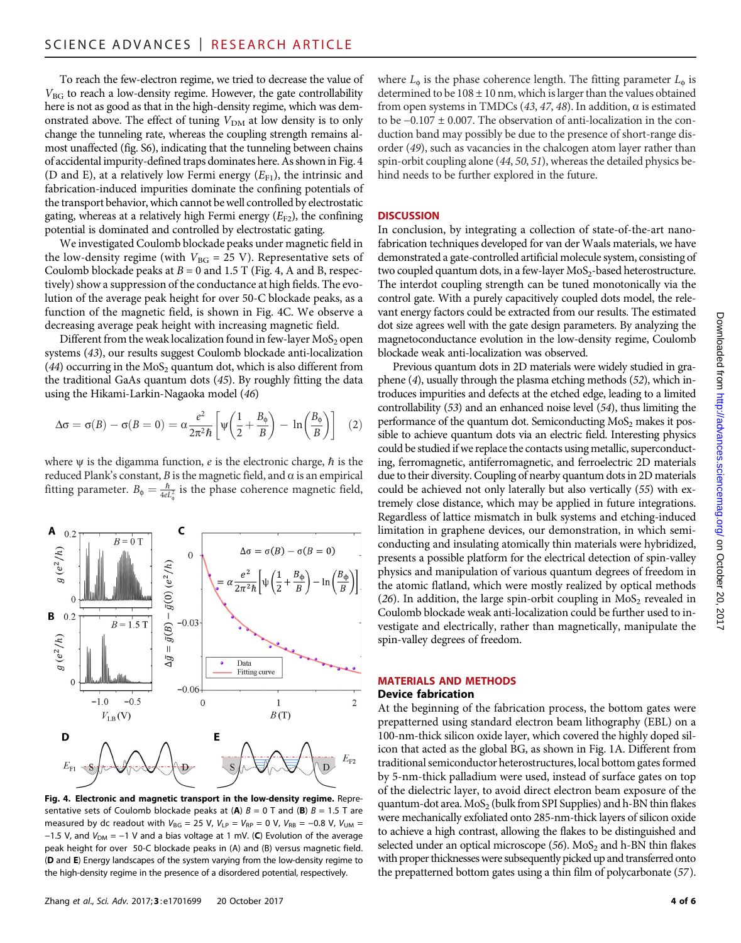To reach the few-electron regime, we tried to decrease the value of  $V_{BG}$  to reach a low-density regime. However, the gate controllability here is not as good as that in the high-density regime, which was demonstrated above. The effect of tuning  $V_{DM}$  at low density is to only change the tunneling rate, whereas the coupling strength remains almost unaffected (fig. S6), indicating that the tunneling between chains of accidental impurity-defined traps dominates here. As shown in Fig. 4 (D and E), at a relatively low Fermi energy  $(E_{F1})$ , the intrinsic and fabrication-induced impurities dominate the confining potentials of the transport behavior, which cannot be well controlled by electrostatic gating, whereas at a relatively high Fermi energy  $(E_{F2})$ , the confining potential is dominated and controlled by electrostatic gating.

We investigated Coulomb blockade peaks under magnetic field in the low-density regime (with  $V_{BG} = 25$  V). Representative sets of Coulomb blockade peaks at  $B = 0$  and 1.5 T (Fig. 4, A and B, respectively) show a suppression of the conductance at high fields. The evolution of the average peak height for over 50-C blockade peaks, as a function of the magnetic field, is shown in Fig. 4C. We observe a decreasing average peak height with increasing magnetic field.

Different from the weak localization found in few-layer  $MoS<sub>2</sub>$  open systems (43), our results suggest Coulomb blockade anti-localization (44) occurring in the  $MoS<sub>2</sub>$  quantum dot, which is also different from the traditional GaAs quantum dots (45). By roughly fitting the data using the Hikami-Larkin-Nagaoka model (46)

$$
\Delta \sigma = \sigma(B) - \sigma(B = 0) = \alpha \frac{e^2}{2\pi^2 \hbar} \left[ \psi \left( \frac{1}{2} + \frac{B_\phi}{B} \right) - \ln \left( \frac{B_\phi}{B} \right) \right] (2)
$$

where  $\psi$  is the digamma function, e is the electronic charge,  $\hbar$  is the reduced Plank's constant,  $B$  is the magnetic field, and  $\alpha$  is an empirical fitting parameter.  $B_{\phi} = \frac{\hbar}{4eL_{\phi}^2}$  is the phase coherence magnetic field,



Fig. 4. Electronic and magnetic transport in the low-density regime. Representative sets of Coulomb blockade peaks at (A)  $B = 0$  T and (B)  $B = 1.5$  T are measured by dc readout with  $V_{BG} = 25$  V,  $V_{LP} = V_{RP} = 0$  V,  $V_{RB} = -0.8$  V,  $V_{UM} =$ −1.5 V, and  $V_{DM}$  = −1 V and a bias voltage at 1 mV. (C) Evolution of the average peak height for over 50-C blockade peaks in (A) and (B) versus magnetic field. (D and E) Energy landscapes of the system varying from the low-density regime to the high-density regime in the presence of a disordered potential, respectively.

where  $L_{\phi}$  is the phase coherence length. The fitting parameter  $L_{\phi}$  is determined to be  $108 \pm 10$  nm, which is larger than the values obtained from open systems in TMDCs (43, 47, 48). In addition,  $\alpha$  is estimated to be −0.107 ± 0.007. The observation of anti-localization in the conduction band may possibly be due to the presence of short-range disorder (49), such as vacancies in the chalcogen atom layer rather than spin-orbit coupling alone (44, 50, 51), whereas the detailed physics behind needs to be further explored in the future.

### **DISCUSSION**

In conclusion, by integrating a collection of state-of-the-art nanofabrication techniques developed for van der Waals materials, we have demonstrated a gate-controlled artificial molecule system, consisting of two coupled quantum dots, in a few-layer  $MoS<sub>2</sub>$ -based heterostructure. The interdot coupling strength can be tuned monotonically via the control gate. With a purely capacitively coupled dots model, the relevant energy factors could be extracted from our results. The estimated dot size agrees well with the gate design parameters. By analyzing the magnetoconductance evolution in the low-density regime, Coulomb blockade weak anti-localization was observed.

Previous quantum dots in 2D materials were widely studied in graphene (4), usually through the plasma etching methods (52), which introduces impurities and defects at the etched edge, leading to a limited controllability (53) and an enhanced noise level (54), thus limiting the performance of the quantum dot. Semiconducting  $MoS<sub>2</sub>$  makes it possible to achieve quantum dots via an electric field. Interesting physics could be studied if we replace the contacts using metallic, superconducting, ferromagnetic, antiferromagnetic, and ferroelectric 2D materials due to their diversity. Coupling of nearby quantum dots in 2D materials could be achieved not only laterally but also vertically (55) with extremely close distance, which may be applied in future integrations. Regardless of lattice mismatch in bulk systems and etching-induced limitation in graphene devices, our demonstration, in which semiconducting and insulating atomically thin materials were hybridized, presents a possible platform for the electrical detection of spin-valley physics and manipulation of various quantum degrees of freedom in the atomic flatland, which were mostly realized by optical methods (26). In addition, the large spin-orbit coupling in  $MoS<sub>2</sub>$  revealed in Coulomb blockade weak anti-localization could be further used to investigate and electrically, rather than magnetically, manipulate the spin-valley degrees of freedom.

#### MATERIALS AND METHODS Device fabrication

At the beginning of the fabrication process, the bottom gates were prepatterned using standard electron beam lithography (EBL) on a 100-nm-thick silicon oxide layer, which covered the highly doped silicon that acted as the global BG, as shown in Fig. 1A. Different from traditional semiconductor heterostructures, local bottom gates formed by 5-nm-thick palladium were used, instead of surface gates on top of the dielectric layer, to avoid direct electron beam exposure of the quantum-dot area.  $MoS<sub>2</sub>$  (bulk from SPI Supplies) and h-BN thin flakes were mechanically exfoliated onto 285-nm-thick layers of silicon oxide to achieve a high contrast, allowing the flakes to be distinguished and selected under an optical microscope (56).  $MoS<sub>2</sub>$  and h-BN thin flakes with proper thicknesses were subsequently picked up and transferred onto the prepatterned bottom gates using a thin film of polycarbonate (57).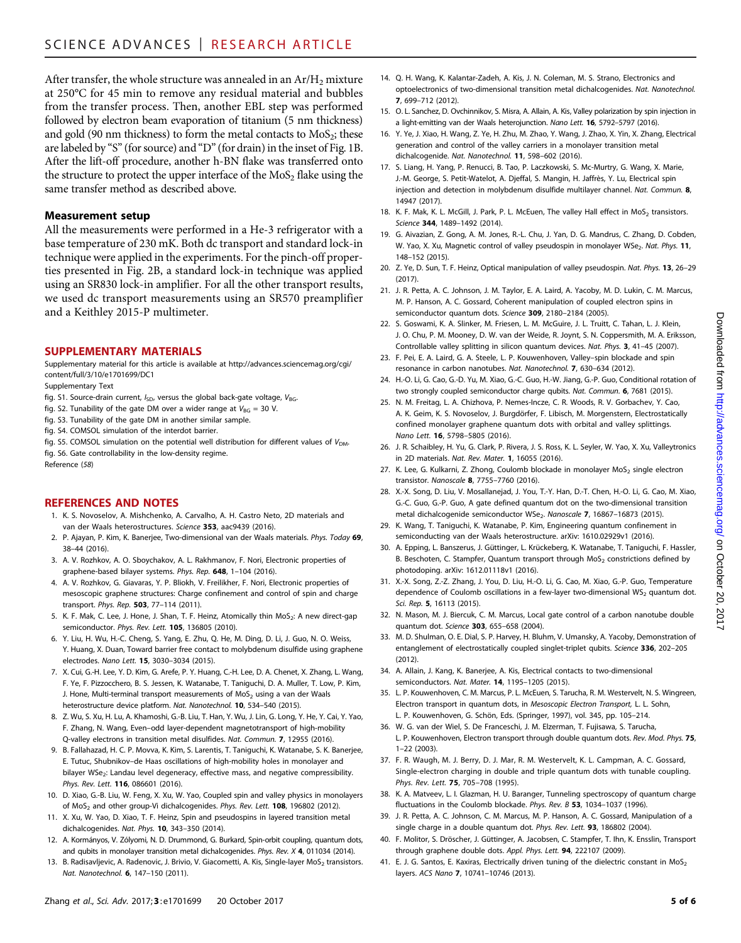After transfer, the whole structure was annealed in an  $Ar/H<sub>2</sub>$  mixture at 250°C for 45 min to remove any residual material and bubbles from the transfer process. Then, another EBL step was performed followed by electron beam evaporation of titanium (5 nm thickness) and gold (90 nm thickness) to form the metal contacts to  $MoS<sub>2</sub>$ ; these are labeled by "S"(for source) and "D"(for drain) in the inset of Fig. 1B. After the lift-off procedure, another h-BN flake was transferred onto the structure to protect the upper interface of the  $MoS<sub>2</sub>$  flake using the same transfer method as described above.

## Measurement setup

All the measurements were performed in a He-3 refrigerator with a base temperature of 230 mK. Both dc transport and standard lock-in technique were applied in the experiments. For the pinch-off properties presented in Fig. 2B, a standard lock-in technique was applied using an SR830 lock-in amplifier. For all the other transport results, we used dc transport measurements using an SR570 preamplifier and a Keithley 2015-P multimeter.

## SUPPLEMENTARY MATERIALS

Supplementary material for this article is available at [http://advances.sciencemag.org/cgi/](http://advances.sciencemag.org/cgi/content/full/3/10/e1701699/DC1) [content/full/3/10/e1701699/DC1](http://advances.sciencemag.org/cgi/content/full/3/10/e1701699/DC1)

- Supplementary Text
- fig. S1. Source-drain current,  $I_{SD}$ , versus the global back-gate voltage,  $V_{BG}$ .
- fig. S2. Tunability of the gate DM over a wider range at  $V_{BG} = 30$  V.
- fig. S3. Tunability of the gate DM in another similar sample.
- fig. S4. COMSOL simulation of the interdot barrier.
- fig. S5. COMSOL simulation on the potential well distribution for different values of  $V_{DM}$ . fig. S6. Gate controllability in the low-density regime.

Reference (58)

## REFERENCES AND NOTES

- 1. K. S. Novoselov, A. Mishchenko, A. Carvalho, A. H. Castro Neto, 2D materials and van der Waals heterostructures. Science 353, aac9439 (2016).
- 2. P. Ajayan, P. Kim, K. Banerjee, Two-dimensional van der Waals materials. Phys. Today 69, 38–44 (2016).
- 3. A. V. Rozhkov, A. O. Sboychakov, A. L. Rakhmanov, F. Nori, Electronic properties of graphene-based bilayer systems. Phys. Rep. 648, 1-104 (2016).
- 4. A. V. Rozhkov, G. Giavaras, Y. P. Bliokh, V. Freilikher, F. Nori, Electronic properties of mesoscopic graphene structures: Charge confinement and control of spin and charge transport. Phys. Rep. 503, 77–114 (2011).
- 5. K. F. Mak, C. Lee, J. Hone, J. Shan, T. F. Heinz, Atomically thin MoS<sub>2</sub>: A new direct-gap semiconductor. Phys. Rev. Lett. **105**, 136805 (2010).
- 6. Y. Liu, H. Wu, H.-C. Cheng, S. Yang, E. Zhu, Q. He, M. Ding, D. Li, J. Guo, N. O. Weiss, Y. Huang, X. Duan, Toward barrier free contact to molybdenum disulfide using graphene electrodes. Nano Lett. 15, 3030–3034 (2015).
- 7. X. Cui, G.-H. Lee, Y. D. Kim, G. Arefe, P. Y. Huang, C.-H. Lee, D. A. Chenet, X. Zhang, L. Wang, F. Ye, F. Pizzocchero, B. S. Jessen, K. Watanabe, T. Taniguchi, D. A. Muller, T. Low, P. Kim, J. Hone, Multi-terminal transport measurements of  $MoS<sub>2</sub>$  using a van der Waals heterostructure device platform. Nat. Nanotechnol. **10**, 534–540 (2015).
- 8. Z. Wu, S. Xu, H. Lu, A. Khamoshi, G.-B. Liu, T. Han, Y. Wu, J. Lin, G. Long, Y. He, Y. Cai, Y. Yao, F. Zhang, N. Wang, Even–odd layer-dependent magnetotransport of high-mobility Q-valley electrons in transition metal disulfides. Nat. Commun. 7, 12955 (2016).
- 9. B. Fallahazad, H. C. P. Movva, K. Kim, S. Larentis, T. Taniguchi, K. Watanabe, S. K. Banerjee, E. Tutuc, Shubnikov–de Haas oscillations of high-mobility holes in monolayer and bilayer WSe<sub>2</sub>: Landau level degeneracy, effective mass, and negative compressibility. Phys. Rev. Lett. 116, 086601 (2016).
- 10. D. Xiao, G.-B. Liu, W. Feng, X. Xu, W. Yao, Coupled spin and valley physics in monolayers of MoS<sub>2</sub> and other group-Vi dichalcogenides. Phys. Rev. Lett. 108, 196802 (2012).
- 11. X. Xu, W. Yao, D. Xiao, T. F. Heinz, Spin and pseudospins in layered transition metal dichalcogenides. Nat. Phys. 10, 343–350 (2014).
- 12. A. Kormányos, V. Zólyomi, N. D. Drummond, G. Burkard, Spin-orbit coupling, quantum dots, and qubits in monolayer transition metal dichalcogenides. Phys. Rev. X 4, 011034 (2014).
- 13. B. Radisavljevic, A. Radenovic, J. Brivio, V. Giacometti, A. Kis, Single-layer MoS<sub>2</sub> transistors. Nat. Nanotechnol. 6, 147–150 (2011).
- 14. Q. H. Wang, K. Kalantar-Zadeh, A. Kis, J. N. Coleman, M. S. Strano, Electronics and optoelectronics of two-dimensional transition metal dichalcogenides. Nat. Nanotechnol. 7, 699–712 (2012).
- 15. O. L. Sanchez, D. Ovchinnikov, S. Misra, A. Allain, A. Kis, Valley polarization by spin injection in a light-emitting van der Waals heterojunction. Nano Lett. 16, 5792–5797 (2016).
- 16. Y. Ye, J. Xiao, H. Wang, Z. Ye, H. Zhu, M. Zhao, Y. Wang, J. Zhao, X. Yin, X. Zhang, Electrical generation and control of the valley carriers in a monolayer transition metal dichalcogenide. Nat. Nanotechnol. 11, 598–602 (2016).
- 17. S. Liang, H. Yang, P. Renucci, B. Tao, P. Laczkowski, S. Mc-Murtry, G. Wang, X. Marie, J.-M. George, S. Petit-Watelot, A. Djeffal, S. Mangin, H. Jaffrès, Y. Lu, Electrical spin injection and detection in molybdenum disulfide multilayer channel. Nat. Commun. 8, 14947 (2017).
- 18. K. F. Mak, K. L. McGill, J. Park, P. L. McEuen, The valley Hall effect in MoS<sub>2</sub> transistors. Science 344, 1489–1492 (2014).
- 19. G. Aivazian, Z. Gong, A. M. Jones, R.-L. Chu, J. Yan, D. G. Mandrus, C. Zhang, D. Cobden, W. Yao, X. Xu, Magnetic control of valley pseudospin in monolayer WSe<sub>2</sub>. Nat. Phys. 11, 148–152 (2015).
- 20. Z. Ye, D. Sun, T. F. Heinz, Optical manipulation of valley pseudospin. Nat. Phys. 13, 26–29 (2017).
- 21. J. R. Petta, A. C. Johnson, J. M. Taylor, E. A. Laird, A. Yacoby, M. D. Lukin, C. M. Marcus, M. P. Hanson, A. C. Gossard, Coherent manipulation of coupled electron spins in semiconductor quantum dots. Science 309, 2180–2184 (2005).
- 22. S. Goswami, K. A. Slinker, M. Friesen, L. M. McGuire, J. L. Truitt, C. Tahan, L. J. Klein, J. O. Chu, P. M. Mooney, D. W. van der Weide, R. Joynt, S. N. Coppersmith, M. A. Eriksson, Controllable valley splitting in silicon quantum devices. Nat. Phys. 3, 41–45 (2007).
- 23. F. Pei, E. A. Laird, G. A. Steele, L. P. Kouwenhoven, Valley–spin blockade and spin resonance in carbon nanotubes. Nat. Nanotechnol. 7, 630–634 (2012).
- 24. H.-O. Li, G. Cao, G.-D. Yu, M. Xiao, G.-C. Guo, H.-W. Jiang, G.-P. Guo, Conditional rotation of two strongly coupled semiconductor charge qubits. Nat. Commun. 6, 7681 (2015).
- 25. N. M. Freitag, L. A. Chizhova, P. Nemes-Incze, C. R. Woods, R. V. Gorbachev, Y. Cao, A. K. Geim, K. S. Novoselov, J. Burgdörfer, F. Libisch, M. Morgenstern, Electrostatically confined monolayer graphene quantum dots with orbital and valley splittings. Nano Lett. 16, 5798–5805 (2016).
- 26. J. R. Schaibley, H. Yu, G. Clark, P. Rivera, J. S. Ross, K. L. Seyler, W. Yao, X. Xu, Valleytronics in 2D materials. Nat. Rev. Mater. 1, 16055 (2016).
- 27. K. Lee, G. Kulkarni, Z. Zhong, Coulomb blockade in monolayer  $MoS<sub>2</sub>$  single electron transistor. Nanoscale 8, 7755–7760 (2016).
- 28. X.-X. Song, D. Liu, V. Mosallanejad, J. You, T.-Y. Han, D.-T. Chen, H.-O. Li, G. Cao, M. Xiao, G.-C. Guo, G.-P. Guo, A gate defined quantum dot on the two-dimensional transition metal dichalcogenide semiconductor WSe<sub>2</sub>. Nanoscale 7, 16867-16873 (2015).
- 29. K. Wang, T. Taniguchi, K. Watanabe, P. Kim, Engineering quantum confinement in semiconducting van der Waals heterostructure. arXiv: 1610.02929v1 (2016).
- 30. A. Epping, L. Banszerus, J. Güttinger, L. Krückeberg, K. Watanabe, T. Taniguchi, F. Hassler, B. Beschoten, C. Stampfer, Quantum transport through  $MoS<sub>2</sub>$  constrictions defined by photodoping. arXiv: 1612.01118v1 (2016).
- 31. X.-X. Song, Z.-Z. Zhang, J. You, D. Liu, H.-O. Li, G. Cao, M. Xiao, G.-P. Guo, Temperature dependence of Coulomb oscillations in a few-layer two-dimensional  $WS<sub>2</sub>$  quantum dot. Sci. Rep. 5, 16113 (2015).
- 32. N. Mason, M. J. Biercuk, C. M. Marcus, Local gate control of a carbon nanotube double quantum dot. Science 303, 655–658 (2004).
- 33. M. D. Shulman, O. E. Dial, S. P. Harvey, H. Bluhm, V. Umansky, A. Yacoby, Demonstration of entanglement of electrostatically coupled singlet-triplet qubits. Science 336, 202–205 (2012).
- 34. A. Allain, J. Kang, K. Banerjee, A. Kis, Electrical contacts to two-dimensional semiconductors. Nat. Mater. 14, 1195–1205 (2015).
- 35. L. P. Kouwenhoven, C. M. Marcus, P. L. McEuen, S. Tarucha, R. M. Westervelt, N. S. Wingreen, Electron transport in quantum dots, in Mesoscopic Electron Transport, L. L. Sohn, L. P. Kouwenhoven, G. Schön, Eds. (Springer, 1997), vol. 345, pp. 105–214.
- 36. W. G. van der Wiel, S. De Franceschi, J. M. Elzerman, T. Fujisawa, S. Tarucha, L. P. Kouwenhoven, Electron transport through double quantum dots. Rev. Mod. Phys. 75, 1–22 (2003).
- 37. F. R. Waugh, M. J. Berry, D. J. Mar, R. M. Westervelt, K. L. Campman, A. C. Gossard, Single-electron charging in double and triple quantum dots with tunable coupling. Phys. Rev. Lett. 75, 705–708 (1995).
- 38. K. A. Matveev, L. I. Glazman, H. U. Baranger, Tunneling spectroscopy of quantum charge fluctuations in the Coulomb blockade. Phys. Rev. B 53, 1034-1037 (1996).
- 39. J. R. Petta, A. C. Johnson, C. M. Marcus, M. P. Hanson, A. C. Gossard, Manipulation of a single charge in a double quantum dot. Phys. Rev. Lett. **93**, 186802 (2004).
- 40. F. Molitor, S. Dröscher, J. Güttinger, A. Jacobsen, C. Stampfer, T. Ihn, K. Ensslin, Transport through graphene double dots. Appl. Phys. Lett. 94, 222107 (2009).
- 41. E. J. G. Santos, E. Kaxiras, Electrically driven tuning of the dielectric constant in  $MoS<sub>2</sub>$ layers. ACS Nano 7, 10741–10746 (2013).